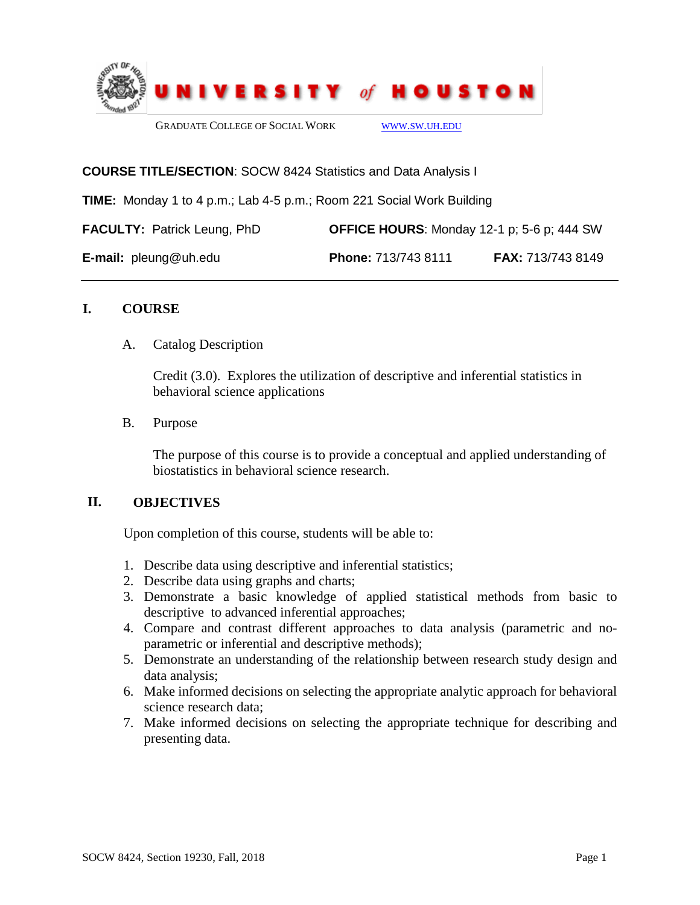

#### **COURSE TITLE/SECTION**: SOCW 8424 Statistics and Data Analysis I

**TIME:** Monday 1 to 4 p.m.; Lab 4-5 p.m.; Room 221 Social Work Building

| <b>FACULTY: Patrick Leung, PhD</b> | <b>OFFICE HOURS:</b> Monday 12-1 p; 5-6 p; 444 SW |                          |
|------------------------------------|---------------------------------------------------|--------------------------|
| <b>E-mail:</b> $pleung@uh.edu$     | Phone: 713/743 8111                               | <b>FAX:</b> 713/743 8149 |

#### **I. COURSE**

#### A. Catalog Description

Credit (3.0). Explores the utilization of descriptive and inferential statistics in behavioral science applications

B. Purpose

The purpose of this course is to provide a conceptual and applied understanding of biostatistics in behavioral science research.

## **II. OBJECTIVES**

Upon completion of this course, students will be able to:

- 1. Describe data using descriptive and inferential statistics;
- 2. Describe data using graphs and charts;
- 3. Demonstrate a basic knowledge of applied statistical methods from basic to descriptive to advanced inferential approaches;
- 4. Compare and contrast different approaches to data analysis (parametric and noparametric or inferential and descriptive methods);
- 5. Demonstrate an understanding of the relationship between research study design and data analysis;
- 6. Make informed decisions on selecting the appropriate analytic approach for behavioral science research data;
- 7. Make informed decisions on selecting the appropriate technique for describing and presenting data.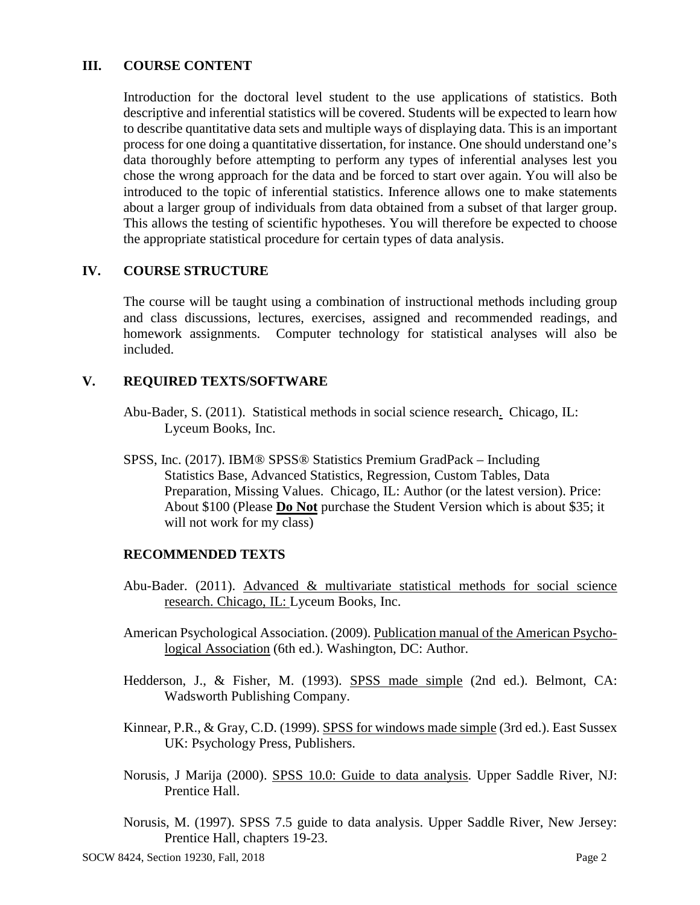## **III. COURSE CONTENT**

Introduction for the doctoral level student to the use applications of statistics. Both descriptive and inferential statistics will be covered. Students will be expected to learn how to describe quantitative data sets and multiple ways of displaying data. This is an important process for one doing a quantitative dissertation, for instance. One should understand one's data thoroughly before attempting to perform any types of inferential analyses lest you chose the wrong approach for the data and be forced to start over again. You will also be introduced to the topic of inferential statistics. Inference allows one to make statements about a larger group of individuals from data obtained from a subset of that larger group. This allows the testing of scientific hypotheses. You will therefore be expected to choose the appropriate statistical procedure for certain types of data analysis.

# **IV. COURSE STRUCTURE**

The course will be taught using a combination of instructional methods including group and class discussions, lectures, exercises, assigned and recommended readings, and homework assignments. Computer technology for statistical analyses will also be included.

## **V. REQUIRED TEXTS/SOFTWARE**

- Abu-Bader, S. (2011). Statistical methods in social science research. Chicago, IL: Lyceum Books, Inc.
- SPSS, Inc. (2017). IBM® SPSS® Statistics Premium GradPack Including Statistics Base, Advanced Statistics, Regression, Custom Tables, Data Preparation, Missing Values. Chicago, IL: Author (or the latest version). Price: About \$100 (Please **Do Not** purchase the Student Version which is about \$35; it will not work for my class)

## **RECOMMENDED TEXTS**

- Abu-Bader. (2011). Advanced & multivariate statistical methods for social science research. Chicago, IL: Lyceum Books, Inc.
- American Psychological Association. (2009). Publication manual of the American Psychological Association (6th ed.). Washington, DC: Author.
- Hedderson, J., & Fisher, M. (1993). SPSS made simple (2nd ed.). Belmont, CA: Wadsworth Publishing Company.
- Kinnear, P.R., & Gray, C.D. (1999). SPSS for windows made simple (3rd ed.). East Sussex UK: Psychology Press, Publishers.
- Norusis, J Marija (2000). SPSS 10.0: Guide to data analysis. Upper Saddle River, NJ: Prentice Hall.
- Norusis, M. (1997). SPSS 7.5 guide to data analysis. Upper Saddle River, New Jersey: Prentice Hall, chapters 19-23.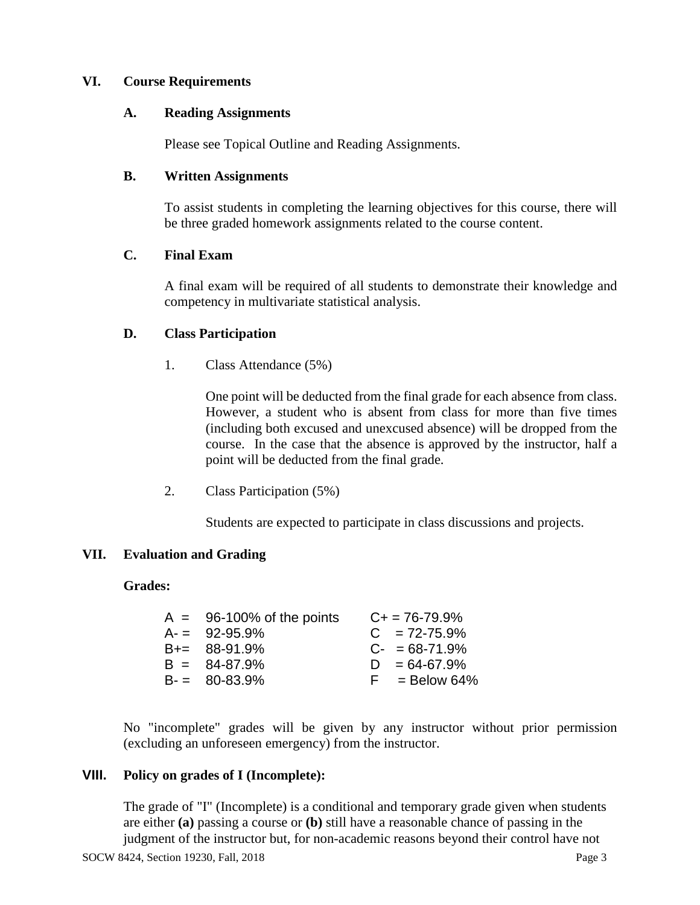## **VI. Course Requirements**

## **A. Reading Assignments**

Please see Topical Outline and Reading Assignments.

# **B. Written Assignments**

To assist students in completing the learning objectives for this course, there will be three graded homework assignments related to the course content.

# **C. Final Exam**

A final exam will be required of all students to demonstrate their knowledge and competency in multivariate statistical analysis.

# **D. Class Participation**

1. Class Attendance (5%)

One point will be deducted from the final grade for each absence from class. However, a student who is absent from class for more than five times (including both excused and unexcused absence) will be dropped from the course. In the case that the absence is approved by the instructor, half a point will be deducted from the final grade.

2. Class Participation (5%)

Students are expected to participate in class discussions and projects.

# **VII. Evaluation and Grading**

## **Grades:**

| $A = 96-100\%$ of the points | $C+ = 76-79.9%$ |
|------------------------------|-----------------|
| $A = 92-95.9%$               | $C = 72-75.9%$  |
| $B+= 88-91.9%$               | $C- = 68-71.9%$ |
| $B = 84-87.9%$               | $D = 64-67.9%$  |
| $B = 80 - 83.9%$             | $F =$ Below 64% |
|                              |                 |

No "incomplete" grades will be given by any instructor without prior permission (excluding an unforeseen emergency) from the instructor.

## **VIII. Policy on grades of I (Incomplete):**

The grade of "I" (Incomplete) is a conditional and temporary grade given when students are either **(a)** passing a course or **(b)** still have a reasonable chance of passing in the judgment of the instructor but, for non-academic reasons beyond their control have not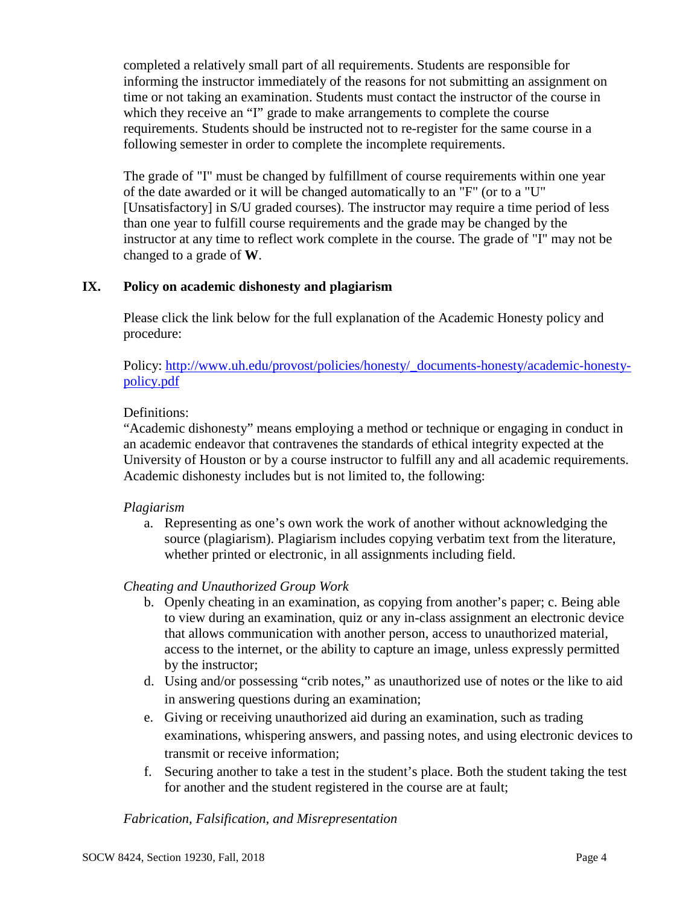completed a relatively small part of all requirements. Students are responsible for informing the instructor immediately of the reasons for not submitting an assignment on time or not taking an examination. Students must contact the instructor of the course in which they receive an "I" grade to make arrangements to complete the course requirements. Students should be instructed not to re-register for the same course in a following semester in order to complete the incomplete requirements.

The grade of "I" must be changed by fulfillment of course requirements within one year of the date awarded or it will be changed automatically to an "F" (or to a "U" [Unsatisfactory] in S/U graded courses). The instructor may require a time period of less than one year to fulfill course requirements and the grade may be changed by the instructor at any time to reflect work complete in the course. The grade of "I" may not be changed to a grade of **W**.

# **IX. Policy on academic dishonesty and plagiarism**

Please click the link below for the full explanation of the Academic Honesty policy and procedure:

Policy: [http://www.uh.edu/provost/policies/honesty/\\_documents-honesty/academic-honesty](http://www.uh.edu/provost/policies/honesty/_documents-honesty/academic-honesty-policy.pdf)[policy.pdf](http://www.uh.edu/provost/policies/honesty/_documents-honesty/academic-honesty-policy.pdf)

# Definitions:

"Academic dishonesty" means employing a method or technique or engaging in conduct in an academic endeavor that contravenes the standards of ethical integrity expected at the University of Houston or by a course instructor to fulfill any and all academic requirements. Academic dishonesty includes but is not limited to, the following:

# *Plagiarism*

a. Representing as one's own work the work of another without acknowledging the source (plagiarism). Plagiarism includes copying verbatim text from the literature, whether printed or electronic, in all assignments including field.

# *Cheating and Unauthorized Group Work*

- b. Openly cheating in an examination, as copying from another's paper; c. Being able to view during an examination, quiz or any in-class assignment an electronic device that allows communication with another person, access to unauthorized material, access to the internet, or the ability to capture an image, unless expressly permitted by the instructor;
- d. Using and/or possessing "crib notes," as unauthorized use of notes or the like to aid in answering questions during an examination;
- e. Giving or receiving unauthorized aid during an examination, such as trading examinations, whispering answers, and passing notes, and using electronic devices to transmit or receive information;
- f. Securing another to take a test in the student's place. Both the student taking the test for another and the student registered in the course are at fault;

## *Fabrication, Falsification, and Misrepresentation*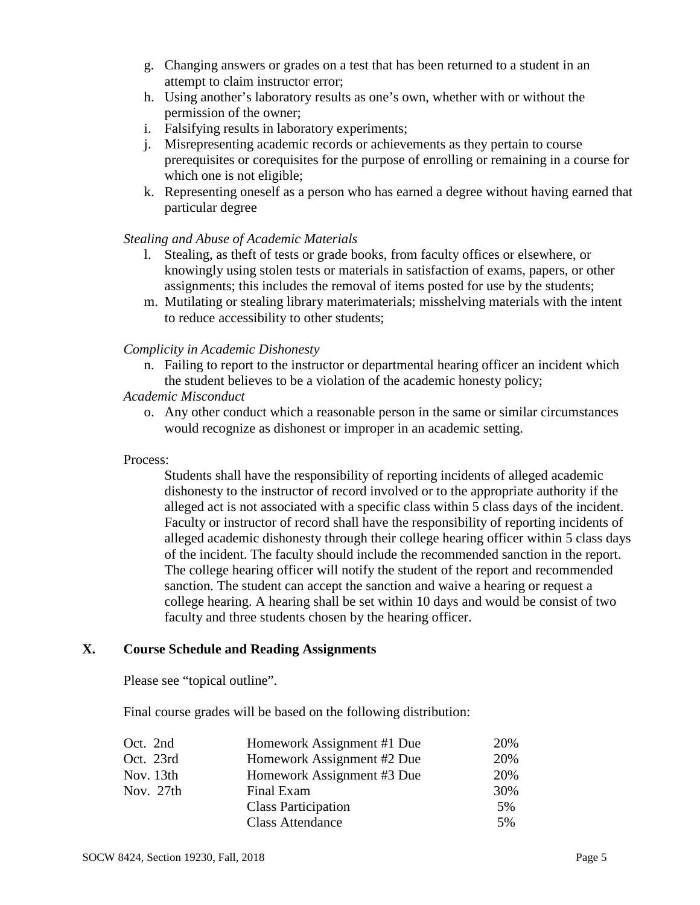- g. Changing answers or grades on a test that has been returned to a student in an attempt to claim instructor error;
- h. Using another's laboratory results as one's own, whether with or without the permission of the owner;
- i. Falsifying results in laboratory experiments;
- j. Misrepresenting academic records or achievements as they pertain to course prerequisites or corequisites for the purpose of enrolling or remaining in a course for which one is not eligible;
- k. Representing oneself as a person who has earned a degree without having earned that particular degree

# *Stealing and Abuse of Academic Materials*

- l. Stealing, as theft of tests or grade books, from faculty offices or elsewhere, or knowingly using stolen tests or materials in satisfaction of exams, papers, or other assignments; this includes the removal of items posted for use by the students;
- m. Mutilating or stealing library materimaterials; misshelving materials with the intent to reduce accessibility to other students;

# *Complicity in Academic Dishonesty*

n. Failing to report to the instructor or departmental hearing officer an incident which the student believes to be a violation of the academic honesty policy;

#### *Academic Misconduct*

o. Any other conduct which a reasonable person in the same or similar circumstances would recognize as dishonest or improper in an academic setting.

## Process:

Students shall have the responsibility of reporting incidents of alleged academic dishonesty to the instructor of record involved or to the appropriate authority if the alleged act is not associated with a specific class within 5 class days of the incident. Faculty or instructor of record shall have the responsibility of reporting incidents of alleged academic dishonesty through their college hearing officer within 5 class days of the incident. The faculty should include the recommended sanction in the report. The college hearing officer will notify the student of the report and recommended sanction. The student can accept the sanction and waive a hearing or request a college hearing. A hearing shall be set within 10 days and would be consist of two faculty and three students chosen by the hearing officer.

## **X. Course Schedule and Reading Assignments**

Please see "topical outline".

Final course grades will be based on the following distribution:

| Homework Assignment #1 Due | 20% |
|----------------------------|-----|
| Homework Assignment #2 Due | 20% |
| Homework Assignment #3 Due | 20% |
| Final Exam                 | 30% |
| <b>Class Participation</b> | 5%  |
| <b>Class Attendance</b>    | 5%  |
|                            |     |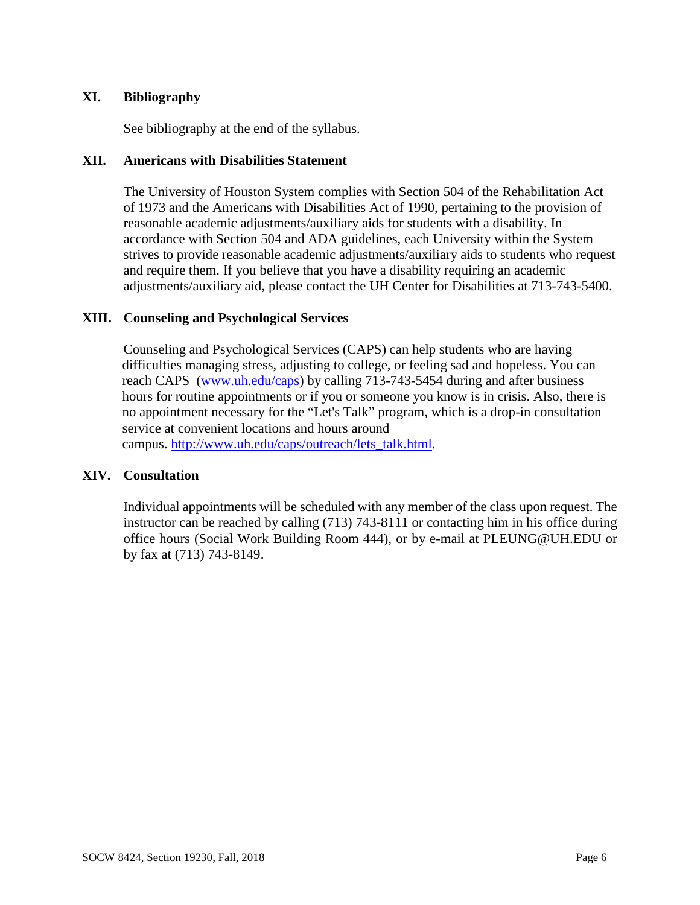# **XI. Bibliography**

See bibliography at the end of the syllabus.

# **XII. Americans with Disabilities Statement**

The University of Houston System complies with Section 504 of the Rehabilitation Act of 1973 and the Americans with Disabilities Act of 1990, pertaining to the provision of reasonable academic adjustments/auxiliary aids for students with a disability. In accordance with Section 504 and ADA guidelines, each University within the System strives to provide reasonable academic adjustments/auxiliary aids to students who request and require them. If you believe that you have a disability requiring an academic adjustments/auxiliary aid, please contact the UH Center for Disabilities at 713-743-5400.

# **XIII. Counseling and Psychological Services**

Counseling and Psychological Services (CAPS) can help students who are having difficulties managing stress, adjusting to college, or feeling sad and hopeless. You can reach CAPS [\(www.uh.edu/caps\)](http://www.uh.edu/caps) by calling 713-743-5454 during and after business hours for routine appointments or if you or someone you know is in crisis. Also, there is no appointment necessary for the "Let's Talk" program, which is a drop-in consultation service at convenient locations and hours around campus. [http://www.uh.edu/caps/outreach/lets\\_talk.html.](https://legacy.central.uh.edu/owa/redir.aspx?REF=13JLitcJPzrRfUs23nLajNUZJozBVkQURrJtRxTM6NPjLzgoGMPUCAFodHRwOi8vd3d3LnVoLmVkdS9jYXBzL291dHJlYWNoL2xldHNfdGFsay5odG1s)

## **XIV. Consultation**

Individual appointments will be scheduled with any member of the class upon request. The instructor can be reached by calling (713) 743-8111 or contacting him in his office during office hours (Social Work Building Room 444), or by e-mail at PLEUNG@UH.EDU or by fax at (713) 743-8149.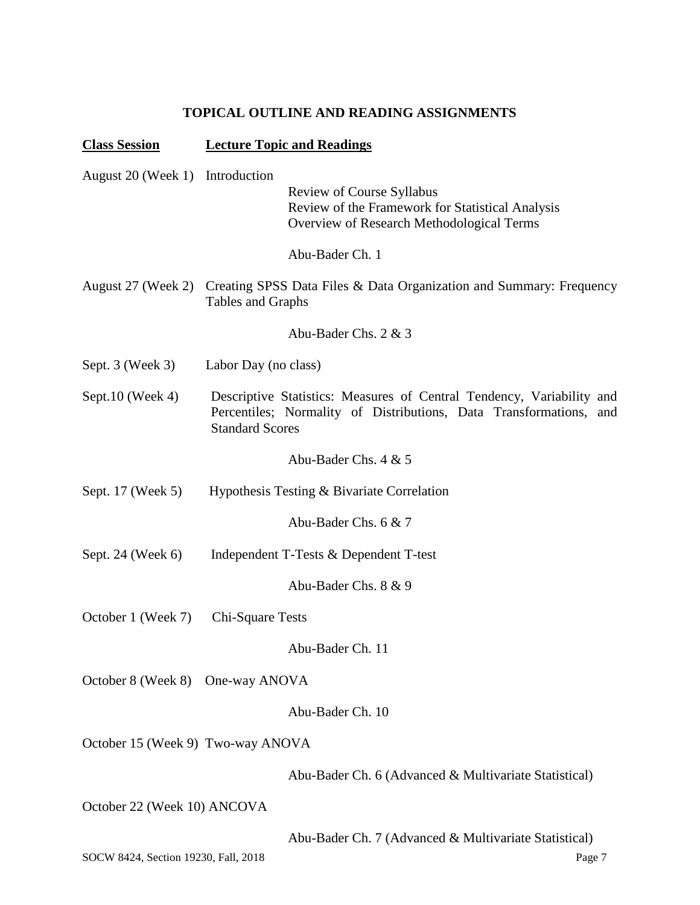# **TOPICAL OUTLINE AND READING ASSIGNMENTS**

| <b>Class Session</b>                 | <b>Lecture Topic and Readings</b>                                                                                                                                        |
|--------------------------------------|--------------------------------------------------------------------------------------------------------------------------------------------------------------------------|
| August 20 (Week 1) Introduction      | Review of Course Syllabus<br>Review of the Framework for Statistical Analysis<br>Overview of Research Methodological Terms                                               |
|                                      | Abu-Bader Ch. 1                                                                                                                                                          |
|                                      | August 27 (Week 2) Creating SPSS Data Files & Data Organization and Summary: Frequency<br>Tables and Graphs                                                              |
|                                      | Abu-Bader Chs. 2 & 3                                                                                                                                                     |
| Sept. $3$ (Week $3$ )                | Labor Day (no class)                                                                                                                                                     |
| Sept.10 (Week 4)                     | Descriptive Statistics: Measures of Central Tendency, Variability and<br>Percentiles; Normality of Distributions, Data Transformations,<br>and<br><b>Standard Scores</b> |
|                                      | Abu-Bader Chs. $4 & 5$                                                                                                                                                   |
| Sept. 17 (Week 5)                    | Hypothesis Testing & Bivariate Correlation                                                                                                                               |
|                                      | Abu-Bader Chs. 6 & 7                                                                                                                                                     |
| Sept. 24 (Week 6)                    | Independent T-Tests & Dependent T-test                                                                                                                                   |
|                                      | Abu-Bader Chs. 8 & 9                                                                                                                                                     |
| October 1 (Week 7)                   | Chi-Square Tests                                                                                                                                                         |
|                                      | Abu-Bader Ch. 11                                                                                                                                                         |
| October 8 (Week 8)                   | One-way ANOVA                                                                                                                                                            |
|                                      | Abu-Bader Ch. 10                                                                                                                                                         |
| October 15 (Week 9) Two-way ANOVA    |                                                                                                                                                                          |
|                                      | Abu-Bader Ch. 6 (Advanced & Multivariate Statistical)                                                                                                                    |
| October 22 (Week 10) ANCOVA          |                                                                                                                                                                          |
|                                      | Abu-Bader Ch. 7 (Advanced & Multivariate Statistical)                                                                                                                    |
| SOCW 8424, Section 19230, Fall, 2018 | Page 7                                                                                                                                                                   |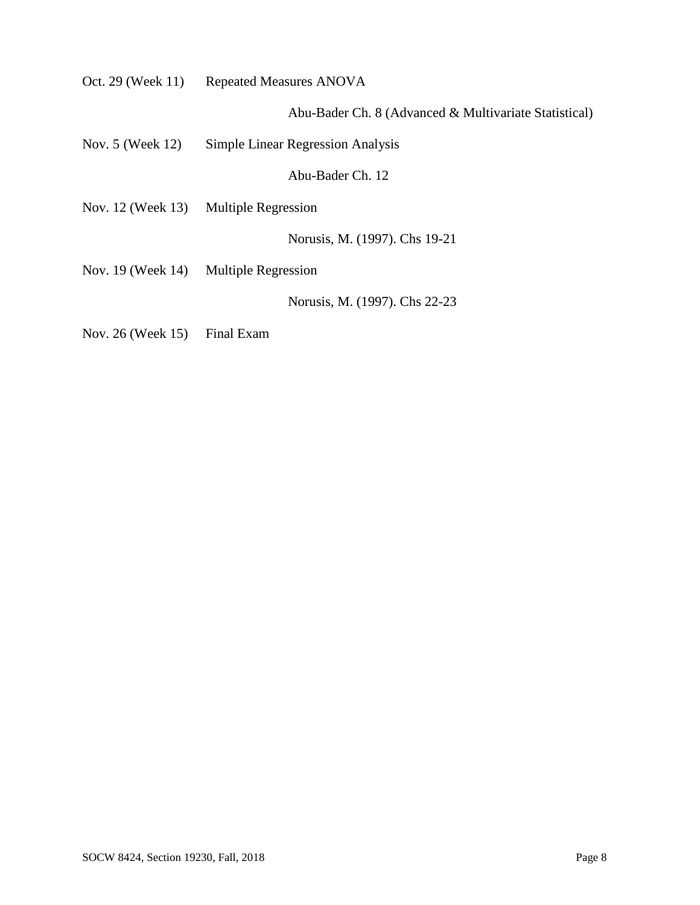|                              | Oct. 29 (Week 11) Repeated Measures ANOVA             |
|------------------------------|-------------------------------------------------------|
|                              | Abu-Bader Ch. 8 (Advanced & Multivariate Statistical) |
| Nov. 5 (Week 12)             | Simple Linear Regression Analysis                     |
|                              | Abu-Bader Ch. 12                                      |
|                              | Nov. 12 (Week 13) Multiple Regression                 |
|                              | Norusis, M. (1997). Chs 19-21                         |
|                              | Nov. 19 (Week 14) Multiple Regression                 |
|                              | Norusis, M. (1997). Chs 22-23                         |
| Nov. 26 (Week 15) Final Exam |                                                       |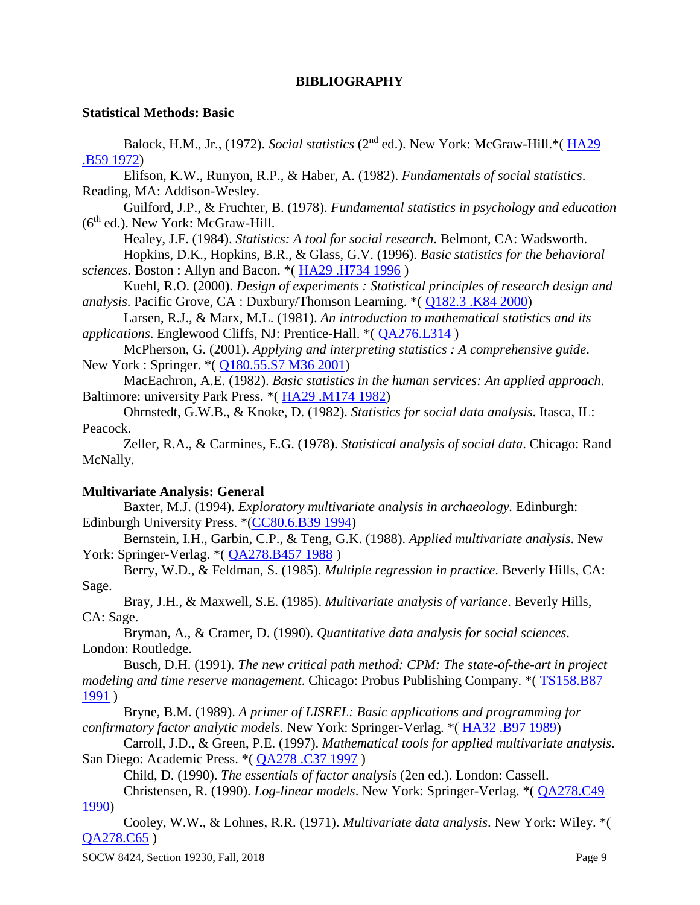## **BIBLIOGRAPHY**

#### **Statistical Methods: Basic**

Balock, H.M., Jr., (1972). *Social statistics* (2nd ed.). New York: McGraw-Hill.\*( [HA29](http://library.uh.edu/search/cHA29+.B59+1972/cha+++29+b59+1972/-5,-1,,E/browse)  [.B59 1972\)](http://library.uh.edu/search/cHA29+.B59+1972/cha+++29+b59+1972/-5,-1,,E/browse) Elifson, K.W., Runyon, R.P., & Haber, A. (1982). *Fundamentals of social statistics*. Reading, MA: Addison-Wesley. Guilford, J.P., & Fruchter, B. (1978). *Fundamental statistics in psychology and education*  $(6<sup>th</sup>$  ed.). New York: McGraw-Hill. Healey, J.F. (1984). *Statistics: A tool for social research*. Belmont, CA: Wadsworth. Hopkins, D.K., Hopkins, B.R., & Glass, G.V. (1996). *Basic statistics for the behavioral sciences.* Boston : Allyn and Bacon. \*( [HA29 .H734 1996](http://library.uh.edu/search/cHA29+.H734+1996/cha+++29+h734+1996/-5,-1,,E/browse) ) Kuehl, R.O. (2000). *Design of experiments : Statistical principles of research design and analysis*. Pacific Grove, CA : Duxbury/Thomson Learning. \*( [Q182.3 .K84 2000\)](http://library.uh.edu/search/cQ182.3+.K84+2000/cq+++182.3+k84+2000/-5,-1,,E/browse) Larsen, R.J., & Marx, M.L. (1981). *An introduction to mathematical statistics and its applications*. Englewood Cliffs, NJ: Prentice-Hall. \*( [QA276.L314](http://library.uh.edu/search/cQA276.L314/cqa++276+l314/-5,-1,,E/browse) ) McPherson, G. (2001). *Applying and interpreting statistics : A comprehensive guide*. New York : Springer. \*( [Q180.55.S7 M36 2001\)](http://library.uh.edu/search/cQ180.55.S7+M36+2001/cq+++180.55+s7+m36+2001/-5,-1,,E/browse) MacEachron, A.E. (1982). *Basic statistics in the human services: An applied approach*. Baltimore: university Park Press. \*( [HA29 .M174 1982\)](http://library.uh.edu/search/cHA29+.M174+1982/cha+++29+m174+1982/-5,-1,,E/browse) Ohrnstedt, G.W.B., & Knoke, D. (1982). *Statistics for social data analysis*. Itasca, IL: Peacock. Zeller, R.A., & Carmines, E.G. (1978). *Statistical analysis of social data*. Chicago: Rand

McNally.

## **Multivariate Analysis: General**

Baxter, M.J. (1994). *Exploratory multivariate analysis in archaeology.* Edinburgh: Edinburgh University Press. \*[\(CC80.6.B39 1994\)](http://library.uh.edu/search/cCC80.6.B39+1994/ccc+++80.6+b39+1994/-5,-1,,E/browse)

Bernstein, I.H., Garbin, C.P., & Teng, G.K. (1988). *Applied multivariate analysis*. New York: Springer-Verlag. \*( [QA278.B457 1988](http://library.uh.edu/search/cQA278.B457+1988/cqa++278+b457+1988/-5,-1,,E/browse) )

Berry, W.D., & Feldman, S. (1985). *Multiple regression in practice*. Beverly Hills, CA: Sage.

Bray, J.H., & Maxwell, S.E. (1985). *Multivariate analysis of variance*. Beverly Hills, CA: Sage.

Bryman, A., & Cramer, D. (1990). *Quantitative data analysis for social sciences*. London: Routledge.

Busch, D.H. (1991). *The new critical path method: CPM: The state-of-the-art in project modeling and time reserve management*. Chicago: Probus Publishing Company. \*( [TS158.B87](http://library.uh.edu/search/cTS158.B87+1991/cts++158+b87+1991/-5,-1,,E/browse)  [1991](http://library.uh.edu/search/cTS158.B87+1991/cts++158+b87+1991/-5,-1,,E/browse) )

Bryne, B.M. (1989). *A primer of LISREL: Basic applications and programming for confirmatory factor analytic models*. New York: Springer-Verlag. \*( [HA32 .B97 1989\)](http://library.uh.edu/search/cHA32+.B97+1989/cha+++32+b97+1989/-5,-1,,E/browse)

Carroll, J.D., & Green, P.E. (1997). *Mathematical tools for applied multivariate analysis*. San Diego: Academic Press. \*( [QA278 .C37 1997](http://library.uh.edu/search/cQA278+.C37+1997/cqa++278+c37+1997/-5,-1,,E/browse) )

Child, D. (1990). *The essentials of factor analysis* (2en ed.). London: Cassell.

Christensen, R. (1990). *Log-linear models*. New York: Springer-Verlag. \*( [QA278.C49](http://library.uh.edu/search/cQA278.C49+1990/cqa++278+c49+1990/-5,-1,,E/browse)  [1990\)](http://library.uh.edu/search/cQA278.C49+1990/cqa++278+c49+1990/-5,-1,,E/browse)

Cooley, W.W., & Lohnes, R.R. (1971). *Multivariate data analysis*. New York: Wiley. \*( [QA278.C65](http://library.uh.edu/search/cQA278.C65/cqa++278+c65/-5,-1,,E/browse) )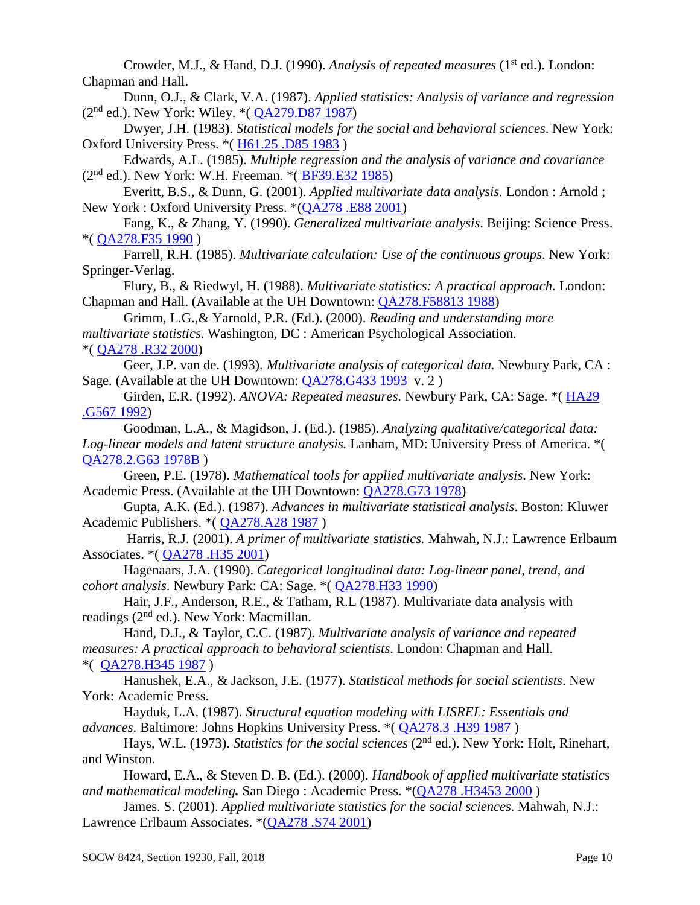Crowder, M.J., & Hand, D.J. (1990). *Analysis of repeated measures* (1<sup>st</sup> ed.). London: Chapman and Hall.

Dunn, O.J., & Clark, V.A. (1987). *Applied statistics: Analysis of variance and regression*  $(2^{nd}$  ed.). New York: Wiley. \* $(QA279.D87 1987)$ 

Dwyer, J.H. (1983). *Statistical models for the social and behavioral sciences*. New York: Oxford University Press. \*( [H61.25 .D85 1983](http://library.uh.edu/search/cH61.25+.D85+1983/ch++++61.25+d85+1983/-5,-1,,E/browse) )

Edwards, A.L. (1985). *Multiple regression and the analysis of variance and covariance* (2nd ed.). New York: W.H. Freeman. \*( [BF39.E32 1985\)](http://library.uh.edu/search/cBF39.E32+1985/cbf+++39+e32+1985/-5,-1,,E/browse)

Everitt, B.S., & Dunn, G. (2001). *Applied multivariate data analysis.* London : Arnold ; New York : Oxford University Press. \*[\(QA278 .E88 2001\)](http://library.uh.edu/search/cQA278+.E88+2001/cqa++278+e88+2001/-5,-1,,E/browse)

Fang, K., & Zhang, Y. (1990). *Generalized multivariate analysis*. Beijing: Science Press. \*( [QA278.F35 1990](http://library.uh.edu/search/cQA278.F35+1990/cqa++278+f35+1990/-5,-1,,E/browse) )

Farrell, R.H. (1985). *Multivariate calculation: Use of the continuous groups*. New York: Springer-Verlag.

Flury, B., & Riedwyl, H. (1988). *Multivariate statistics: A practical approach*. London: Chapman and Hall. (Available at the UH Downtown: [QA278.F58813 1988\)](http://library.uh.edu/search/cQA278.F58813+1988/cqa++278+f58813+1988/-5,-1,,E/browse)

Grimm, L.G.,& Yarnold, P.R. (Ed.). (2000). *Reading and understanding more multivariate statistics*. Washington, DC : American Psychological Association. \*( [QA278 .R32 2000\)](http://library.uh.edu/search/cQA278+.R32+2000/cqa++278+r32+2000/-5,-1,,E/browse)

Geer, J.P. van de. (1993). *Multivariate analysis of categorical data.* Newbury Park, CA : Sage. (Available at the UH Downtown: [QA278.G433 1993](http://library.uh.edu/search/cQA278.G433+1993/cqa++278+g433+1993/-5,-1,,E/browse) v. 2)

Girden, E.R. (1992). *ANOVA: Repeated measures.* Newbury Park, CA: Sage. \*( [HA29](http://library.uh.edu/search/cHA29+.G567+1992/cha+++29+g567+1992/-5,-1,,E/browse)  [.G567 1992\)](http://library.uh.edu/search/cHA29+.G567+1992/cha+++29+g567+1992/-5,-1,,E/browse)

Goodman, L.A., & Magidson, J. (Ed.). (1985). *Analyzing qualitative/categorical data: Log-linear models and latent structure analysis.* Lanham, MD: University Press of America. \*( [QA278.2.G63 1978B](http://library.uh.edu/search/cQA278.2.G63+1978B/cqa++278.2+g63+1978+b/-5,-1,,E/browse) )

Green, P.E. (1978). *Mathematical tools for applied multivariate analysis*. New York: Academic Press. (Available at the UH Downtown: [QA278.G73 1978\)](http://library.uh.edu/search/cQA278.G73+1978/cqa++278+g73+1978/-5,-1,,E/browse)

Gupta, A.K. (Ed.). (1987). *Advances in multivariate statistical analysis*. Boston: Kluwer Academic Publishers. \*( [QA278.A28 1987](http://library.uh.edu/search/cQA278.A28+1987/cqa++278+a28+1987/-5,-1,,E/browse) )

Harris, R.J. (2001). *A primer of multivariate statistics.* Mahwah, N.J.: Lawrence Erlbaum Associates. \*( [QA278 .H35 2001\)](http://library.uh.edu/search/cQA278+.H35+2001/cqa++278+h35+2001/-5,-1,,E/browse)

Hagenaars, J.A. (1990). *Categorical longitudinal data: Log-linear panel, trend, and cohort analysis*. Newbury Park: CA: Sage. \*( [QA278.H33 1990\)](http://library.uh.edu/search/cQA278.H33+1990/cqa++278+h33+1990/-5,-1,,E/browse)

Hair, J.F., Anderson, R.E., & Tatham, R.L (1987). Multivariate data analysis with readings (2nd ed.). New York: Macmillan.

Hand, D.J., & Taylor, C.C. (1987). *Multivariate analysis of variance and repeated measures: A practical approach to behavioral scientists*. London: Chapman and Hall. \*( [QA278.H345 1987](http://library.uh.edu/search/cQA278.H345+1987/cqa++278+h345+1987/-5,-1,,E/browse) )

Hanushek, E.A., & Jackson, J.E. (1977). *Statistical methods for social scientists*. New York: Academic Press.

Hayduk, L.A. (1987). *Structural equation modeling with LISREL: Essentials and advances*. Baltimore: Johns Hopkins University Press. \*( [QA278.3 .H39 1987](http://library.uh.edu/search/cQA278.3+.H39+1987/cqa++278.3+h39+1987/-5,-1,,E/browse) )

Hays, W.L. (1973). *Statistics for the social sciences* (2nd ed.). New York: Holt, Rinehart, and Winston.

Howard, E.A., & Steven D. B. (Ed.). (2000). *Handbook of applied multivariate statistics and mathematical modeling.* San Diego : Academic Press. \*[\(QA278 .H3453 2000](http://library.uh.edu/search/cQA278+.H3453+2000/cqa++278+h3453+2000/-5,-1,,E/browse) )

James. S. (2001). *Applied multivariate statistics for the social sciences.* Mahwah, N.J.: Lawrence Erlbaum Associates. \*[\(QA278 .S74 2001\)](http://library.uh.edu/search/cQA278+.S74+2001/cqa++278+s74+2001/-5,-1,,E/browse)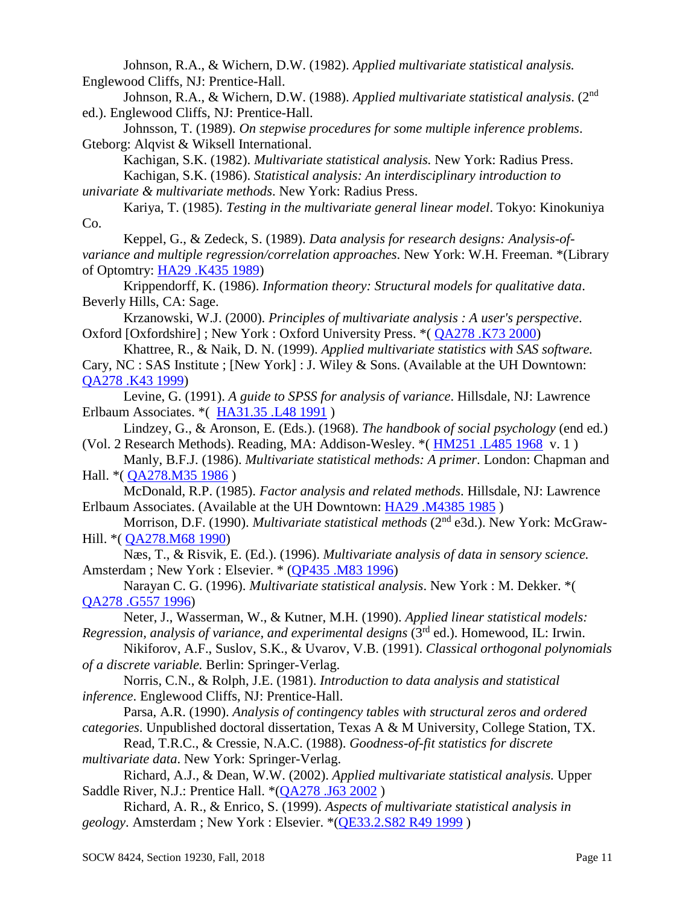Johnson, R.A., & Wichern, D.W. (1982). *Applied multivariate statistical analysis.*  Englewood Cliffs, NJ: Prentice-Hall.

Johnson, R.A., & Wichern, D.W. (1988). *Applied multivariate statistical analysis*. (2nd ed.). Englewood Cliffs, NJ: Prentice-Hall.

Johnsson, T. (1989). *On stepwise procedures for some multiple inference problems*. Gteborg: Alqvist & Wiksell International.

Kachigan, S.K. (1982). *Multivariate statistical analysis.* New York: Radius Press. Kachigan, S.K. (1986). *Statistical analysis: An interdisciplinary introduction to univariate & multivariate methods*. New York: Radius Press.

Kariya, T. (1985). *Testing in the multivariate general linear model*. Tokyo: Kinokuniya Co.

Keppel, G., & Zedeck, S. (1989). *Data analysis for research designs: Analysis-ofvariance and multiple regression/correlation approaches*. New York: W.H. Freeman. \*(Library of Optomtry: [HA29 .K435 1989\)](http://library.uh.edu/search/cHA29+.K435+1989/cha+++29+k435+1989/-5,-1,,E/browse)

Krippendorff, K. (1986). *Information theory: Structural models for qualitative data*. Beverly Hills, CA: Sage.

Krzanowski, W.J. (2000). *Principles of multivariate analysis : A user's perspective*. Oxford [Oxfordshire] ; New York : Oxford University Press. \*( [QA278 .K73 2000\)](http://library.uh.edu/search/cQA278+.K73+2000/cqa++278+k73+2000/-5,-1,,E/browse)

Khattree, R., & Naik, D. N. (1999). *Applied multivariate statistics with SAS software.* Cary, NC : SAS Institute ; [New York] : J. Wiley & Sons. (Available at the UH Downtown: [QA278 .K43 1999\)](http://library.uh.edu/search/cQA278+.K43+1999/cqa++278+k43+1999/-5,-1,,E/browse)

Levine, G. (1991). *A guide to SPSS for analysis of variance*. Hillsdale, NJ: Lawrence Erlbaum Associates. \*( [HA31.35 .L48 1991](http://library.uh.edu/search/cHA31.35+.L48+1991/cha+++31.35+l48+1991/-5,-1,,E/browse) )

Lindzey, G., & Aronson, E. (Eds.). (1968). *The handbook of social psychology* (end ed.) (Vol. 2 Research Methods). Reading, MA: Addison-Wesley. \*( [HM251 .L485 1968](http://library.uh.edu/search/cHM251+.L485+1968/chm++251+l485+1968/-5,-1,,E/browse) v. 1 )

Manly, B.F.J. (1986). *Multivariate statistical methods: A primer*. London: Chapman and Hall. \*( [QA278.M35 1986](http://library.uh.edu/search/cQA278.M35+1986/cqa++278+m35+1986/-5,-1,,E/browse) )

McDonald, R.P. (1985). *Factor analysis and related methods*. Hillsdale, NJ: Lawrence Erlbaum Associates. (Available at the UH Downtown: [HA29 .M4385 1985](http://library.uh.edu/search/cHA29+.M4385+1985/cha+++29+m4385+1985/-5,-1,,E/browse))

Morrison, D.F. (1990). *Multivariate statistical methods* (2nd e3d.). New York: McGraw-Hill. \*( [QA278.M68 1990\)](http://library.uh.edu/search/cQA278.M68+1990/cqa++278+m68+1990/-5,-1,,E/browse)

Næs, T., & Risvik, E. (Ed.). (1996). *Multivariate analysis of data in sensory science.* Amsterdam ; New York : Elsevier. \* [\(QP435 .M83 1996\)](http://library.uh.edu/search/cQP435+.M83+1996/cqp++435+m83+1996/-5,-1,,E/browse)

Narayan C. G. (1996). *Multivariate statistical analysis*. New York : M. Dekker. \*( [QA278 .G557 1996\)](http://library.uh.edu/search/cQA278+.G557+1996/cqa++278+g557+1996/-5,-1,,E/browse)

Neter, J., Wasserman, W., & Kutner, M.H. (1990). *Applied linear statistical models: Regression, analysis of variance, and experimental designs* (3rd ed.). Homewood, IL: Irwin.

Nikiforov, A.F., Suslov, S.K., & Uvarov, V.B. (1991). *Classical orthogonal polynomials of a discrete variable.* Berlin: Springer-Verlag.

Norris, C.N., & Rolph, J.E. (1981). *Introduction to data analysis and statistical inference*. Englewood Cliffs, NJ: Prentice-Hall.

Parsa, A.R. (1990). *Analysis of contingency tables with structural zeros and ordered categories*. Unpublished doctoral dissertation, Texas A & M University, College Station, TX.

Read, T.R.C., & Cressie, N.A.C. (1988). *Goodness-of-fit statistics for discrete multivariate data*. New York: Springer-Verlag.

Richard, A.J., & Dean, W.W. (2002). *Applied multivariate statistical analysis.* Upper Saddle River, N.J.: Prentice Hall. \* [\(QA278 .J63 2002](http://library.uh.edu/search/cQA278+.J63+2002/cqa++278+j63+2002/-5,-1,,E/browse))

Richard, A. R., & Enrico, S. (1999). *Aspects of multivariate statistical analysis in geology*. Amsterdam ; New York : Elsevier. \*[\(QE33.2.S82 R49 1999](http://library.uh.edu/search/cQE33.2.S82+R49+1999/cqe+++33.2+s82+r49+1999/-5,-1,,E/browse) )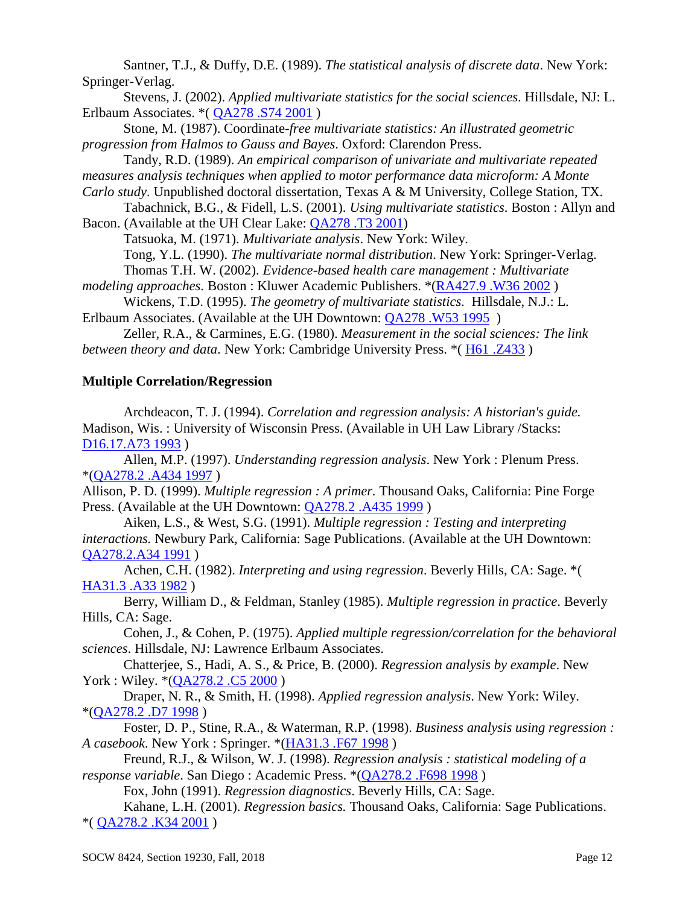Santner, T.J., & Duffy, D.E. (1989). *The statistical analysis of discrete data*. New York: Springer-Verlag.

Stevens, J. (2002). *Applied multivariate statistics for the social sciences*. Hillsdale, NJ: L. Erlbaum Associates. \*( [QA278 .S74 2001](http://library.uh.edu/search/cQA278+.S74+2001/cqa++278+s74+2001/-5,-1,,E/browse) )

Stone, M. (1987). Coordinate*-free multivariate statistics: An illustrated geometric progression from Halmos to Gauss and Bayes*. Oxford: Clarendon Press.

Tandy, R.D. (1989). *An empirical comparison of univariate and multivariate repeated measures analysis techniques when applied to motor performance data microform: A Monte* 

*Carlo study*. Unpublished doctoral dissertation, Texas A & M University, College Station, TX. Tabachnick, B.G., & Fidell, L.S. (2001). *Using multivariate statistics*. Boston : Allyn and Bacon. (Available at the UH Clear Lake: [QA278 .T3 2001\)](http://library.uh.edu/search/cQA278+.T3+2001/cqa++278+t3+2001/-5,-1,,E/browse)

Tatsuoka, M. (1971). *Multivariate analysis*. New York: Wiley.

Tong, Y.L. (1990). *The multivariate normal distribution*. New York: Springer-Verlag.

Thomas T.H. W. (2002). *Evidence-based health care management : Multivariate* 

*modeling approaches*. Boston : Kluwer Academic Publishers. \*[\(RA427.9 .W36 2002](http://library.uh.edu/search/cRA427.9+.W36+2002/cra++427.9+w36+2002/-5,-1,,E/browse) )

Wickens, T.D. (1995). *The geometry of multivariate statistics.*Hillsdale, N.J.: L. Erlbaum Associates. (Available at the UH Downtown:  $QA278$ . W53 1995)

Zeller, R.A., & Carmines, E.G. (1980). *Measurement in the social sciences: The link between theory and data*. New York: Cambridge University Press. \*( [H61 .Z433](http://library.uh.edu/search/cH61+.Z433/ch++++61+z433/-5,-1,,E/browse) )

# **Multiple Correlation/Regression**

Archdeacon, T. J. (1994). *Correlation and regression analysis: A historian's guide.* Madison, Wis. : University of Wisconsin Press. (Available in UH Law Library /Stacks: [D16.17.A73 1993](http://library.uh.edu/search/cD16.17.A73+1993/cd++++16.17+a73+1993/-5,-1,,E/browse) )

Allen, M.P. (1997). *Understanding regression analysis*. New York : Plenum Press. \*[\(QA278.2 .A434 1997](http://library.uh.edu/search/cQA278.2+.A434+1997/cqa++278.2+a434+1997/-5,-1,,E/browse) )

Allison, P. D. (1999). *Multiple regression : A primer.* Thousand Oaks, California: Pine Forge Press. (Available at the UH Downtown: [QA278.2 .A435 1999](http://library.uh.edu/search/cQA278.2+.A435+1999/cqa++278.2+a435+1999/-5,-1,,E/browse) )

Aiken, L.S., & West, S.G. (1991). *Multiple regression : Testing and interpreting interactions.* Newbury Park, California: Sage Publications. (Available at the UH Downtown: [QA278.2.A34 1991](http://library.uh.edu/search/cQA278.2.A34+1991/cqa++278.2+a34+1991/-5,-1,,E/browse) )

Achen, C.H. (1982). *Interpreting and using regression*. Beverly Hills, CA: Sage. \*( [HA31.3 .A33 1982](http://library.uh.edu/search/cHA31.3+.A33+1982/cha+++31.3+a33+1982/-5,-1,,E/browse) )

Berry, William D., & Feldman, Stanley (1985). *Multiple regression in practice*. Beverly Hills, CA: Sage.

Cohen, J., & Cohen, P. (1975). *Applied multiple regression/correlation for the behavioral sciences*. Hillsdale, NJ: Lawrence Erlbaum Associates.

Chatterjee, S., Hadi, A. S., & Price, B. (2000). *Regression analysis by example*. New York : Wiley.  $*(QA278.2 \cdot C5 2000)$ 

Draper, N. R., & Smith, H. (1998). *Applied regression analysis*. New York: Wiley. \*[\(QA278.2 .D7 1998](http://library.uh.edu/search/cQA278.2+.D7+1998/cqa++278.2+d7+1998/-5,-1,,E/browse) )

Foster, D. P., Stine, R.A., & Waterman, R.P. (1998). *Business analysis using regression : A casebook*. New York : Springer. \*[\(HA31.3 .F67 1998](http://library.uh.edu/search/cHA31.3+.F67+1998/cha+++31.3+f67+1998/-5,-1,,E/browse) )

Freund, R.J., & Wilson, W. J. (1998). *Regression analysis : statistical modeling of a response variable*. San Diego : Academic Press. \*[\(QA278.2 .F698 1998](http://library.uh.edu/search/cQA278.2+.F698+1998/cqa++278.2+f698+1998/-5,-1,,E/browse) )

Fox, John (1991). *Regression diagnostics*. Beverly Hills, CA: Sage.

Kahane, L.H. (2001). *Regression basics.* Thousand Oaks, California: Sage Publications. \*( [QA278.2 .K34 2001](http://library.uh.edu/search/cQA278.2+.K34+2001/cqa++278.2+k34+2001/-5,-1,,E/browse) )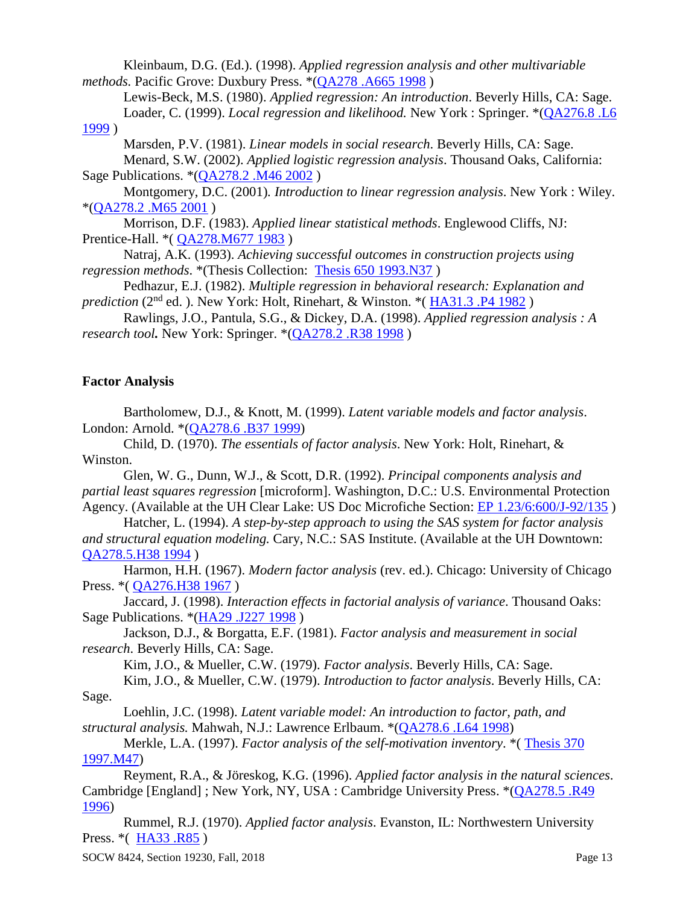Kleinbaum, D.G. (Ed.). (1998). *Applied regression analysis and other multivariable methods.* Pacific Grove: Duxbury Press. \*[\(QA278 .A665 1998](http://library.uh.edu/search/cQA278+.A665+1998/cqa++278+a665+1998/-5,-1,,E/browse) )

Lewis-Beck, M.S. (1980). *Applied regression: An introduction*. Beverly Hills, CA: Sage. Loader, C. (1999). *Local regression and likelihood.* New York : Springer. \*[\(QA276.8 .L6](http://library.uh.edu/search/cQA276.8+.L6+1999/cqa++276.8+l6+1999/-5,-1,,E/browse) 

[1999](http://library.uh.edu/search/cQA276.8+.L6+1999/cqa++276.8+l6+1999/-5,-1,,E/browse) )

Marsden, P.V. (1981). *Linear models in social research*. Beverly Hills, CA: Sage. Menard, S.W. (2002). *Applied logistic regression analysis*. Thousand Oaks, California: Sage Publications. \*[\(QA278.2 .M46 2002](http://library.uh.edu/search/cQA278.2+.M46+2002/cqa++278.2+m46+2002/-5,-1,,E/browse) )

Montgomery, D.C. (2001)*. Introduction to linear regression analysis*. New York : Wiley. \*[\(QA278.2 .M65 2001](http://library.uh.edu/search/cQA278.2+.M65+2001/cqa++278.2+m65+2001/-5,-1,,E/browse) )

Morrison, D.F. (1983). *Applied linear statistical methods*. Englewood Cliffs, NJ: Prentice-Hall. \* ( $QA278.M677 1983$ )

Natraj, A.K. (1993). *Achieving successful outcomes in construction projects using regression methods*. \*(Thesis Collection: [Thesis 650 1993.N37](http://library.uh.edu/search/jThesis+650+1993.N37/jthesis++650+1993+n37/-5,-1,,E/browse) )

Pedhazur, E.J. (1982). *Multiple regression in behavioral research: Explanation and prediction* (2<sup>nd</sup> ed.). New York: Holt, Rinehart, & Winston. \* (HA31.3 .P4 1982)

Rawlings, J.O., Pantula, S.G., & Dickey, D.A. (1998). *Applied regression analysis : A research tool.* New York: Springer. \*[\(QA278.2 .R38 1998](http://library.uh.edu/search/cQA278.2+.R38+1998/cqa++278.2+r38+1998/-5,-1,,E/browse) )

# **Factor Analysis**

Bartholomew, D.J., & Knott, M. (1999). *Latent variable models and factor analysis*. London: Arnold. \*[\(QA278.6 .B37 1999\)](http://library.uh.edu/search/cQA278.6+.B37+1999/cqa++278.6+b37+1999/-5,-1,,E/browse)

Child, D. (1970). *The essentials of factor analysis*. New York: Holt, Rinehart, & Winston.

Glen, W. G., Dunn, W.J., & Scott, D.R. (1992). *Principal components analysis and partial least squares regression* [microform]. Washington, D.C.: U.S. Environmental Protection Agency. (Available at the UH Clear Lake: US Doc Microfiche Section: [EP 1.23/6:600/J-92/135](http://library.uh.edu/search/gEP+1.23%2F6:600%2FJ-92%2F135/gep++++1.+++23%2F++++6+:++600%2Fj-+++92%2F++135/-5,-1,,E/browse) )

Hatcher, L. (1994). *A step-by-step approach to using the SAS system for factor analysis and structural equation modeling.* Cary, N.C.: SAS Institute. (Available at the UH Downtown: [QA278.5.H38 1994](http://library.uh.edu/search/cQA278.5.H38+1994/cqa++278.5+h38+1994/-5,-1,,E/browse))

Harmon, H.H. (1967). *Modern factor analysis* (rev. ed.). Chicago: University of Chicago Press. \*( [QA276.H38 1967](http://library.uh.edu/search/cQA276.H38+1967/cqa++276+h38+1967/-5,-1,,E/browse) )

Jaccard, J. (1998). *Interaction effects in factorial analysis of variance*. Thousand Oaks: Sage Publications. \*[\(HA29 .J227 1998](http://library.uh.edu/search/cHA29+.J227+1998/cha+++29+j227+1998/-5,-1,,E/browse))

Jackson, D.J., & Borgatta, E.F. (1981). *Factor analysis and measurement in social research*. Beverly Hills, CA: Sage.

Kim, J.O., & Mueller, C.W. (1979). *Factor analysis*. Beverly Hills, CA: Sage.

Kim, J.O., & Mueller, C.W. (1979). *Introduction to factor analysis*. Beverly Hills, CA: Sage.

Loehlin, J.C. (1998). *Latent variable model: An introduction to factor, path, and structural analysis.* Mahwah, N.J.: Lawrence Erlbaum. \*[\(QA278.6 .L64 1998\)](http://library.uh.edu/search/cQA278.6+.L64+1998/cqa++278.6+l64+1998/-5,-1,,E/browse)

Merkle, L.A. (1997). *Factor analysis of the self-motivation inventory*. \*( [Thesis 370](http://library.uh.edu/search/jThesis+370+1997.M47/jthesis++370+1997+m47/-5,-1,,E/browse)  [1997.M47\)](http://library.uh.edu/search/jThesis+370+1997.M47/jthesis++370+1997+m47/-5,-1,,E/browse)

Reyment, R.A., & Jöreskog, K.G. (1996). *Applied factor analysis in the natural sciences*. Cambridge [England] ; New York, NY, USA : Cambridge University Press. \*[\(QA278.5 .R49](http://library.uh.edu/search/cQA278.5+.R49+1996/cqa++278.5+r49+1996/-5,-1,,E/browse)  [1996\)](http://library.uh.edu/search/cQA278.5+.R49+1996/cqa++278.5+r49+1996/-5,-1,,E/browse)

Rummel, R.J. (1970). *Applied factor analysis*. Evanston, IL: Northwestern University Press. \* ( [HA33 .R85](http://library.uh.edu/search/cHA33+.R85/cha+++33+r85/-5,-1,,E/browse) )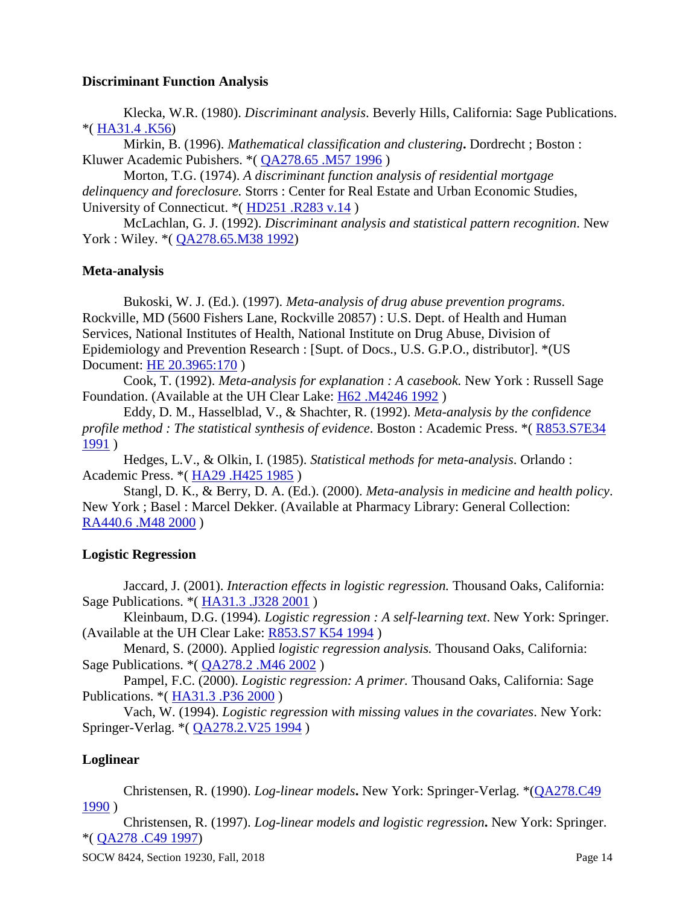#### **Discriminant Function Analysis**

Klecka, W.R. (1980). *Discriminant analysis*. Beverly Hills, California: Sage Publications. \*( [HA31.4 .K56\)](http://library.uh.edu/search/cHA31.4+.K56/cha+++31.4+k56/-5,-1,,E/browse)

Mirkin, B. (1996). *Mathematical classification and clustering***.** Dordrecht ; Boston : Kluwer Academic Pubishers. \*( [QA278.65 .M57 1996](http://library.uh.edu/search/cQA278.65+.M57+1996/cqa++278.65+m57+1996/-5,-1,,E/browse) )

Morton, T.G. (1974). *A discriminant function analysis of residential mortgage delinquency and foreclosure.* Storrs : Center for Real Estate and Urban Economic Studies, University of Connecticut. \*( [HD251 .R283 v.14](http://library.uh.edu/search/cHD251+.R283+v.14/chd++251+r283+v+++14/-5,-1,,E/browse) )

McLachlan, G. J. (1992). *Discriminant analysis and statistical pattern recognition*. New York : Wiley. \* (*QA278.65.M38 1992*)

## **Meta-analysis**

Bukoski, W. J. (Ed.). (1997). *Meta-analysis of drug abuse prevention programs*. Rockville, MD (5600 Fishers Lane, Rockville 20857) : U.S. Dept. of Health and Human Services, National Institutes of Health, National Institute on Drug Abuse, Division of Epidemiology and Prevention Research : [Supt. of Docs., U.S. G.P.O., distributor]. \*(US Document: [HE 20.3965:170](http://library.uh.edu/search/gHE+20.3965:170/ghe+++20.+3965+:++170/-5,-1,,E/browse) )

Cook, T. (1992). *Meta-analysis for explanation : A casebook.* New York : Russell Sage Foundation. (Available at the UH Clear Lake: [H62 .M4246 1992](http://library.uh.edu/search/cH62+.M4246+1992/ch++++62+m4246+1992/-5,-1,,E/browse))

Eddy, D. M., Hasselblad, V., & Shachter, R. (1992). *Meta-analysis by the confidence profile method : The statistical synthesis of evidence*. Boston : Academic Press. \*( [R853.S7E34](http://library.uh.edu/search/cR853.S7E34+1991/cr+++853+s7+e34+1991/-5,-1,,E/browse)  [1991](http://library.uh.edu/search/cR853.S7E34+1991/cr+++853+s7+e34+1991/-5,-1,,E/browse) )

Hedges, L.V., & Olkin, I. (1985). *Statistical methods for meta-analysis*. Orlando : Academic Press. \*( [HA29 .H425 1985](http://library.uh.edu/search/cHA29+.H425+1985/cha+++29+h425+1985/-5,-1,,E/browse) )

Stangl, D. K., & Berry, D. A. (Ed.). (2000). *Meta-analysis in medicine and health policy*. New York ; Basel : Marcel Dekker. (Available at Pharmacy Library: General Collection: [RA440.6 .M48 2000](http://library.uh.edu/search/cRA440.6+.M48+2000/cra++440.6+m48+2000/-5,-1,,E/browse) )

## **Logistic Regression**

Jaccard, J. (2001). *Interaction effects in logistic regression.* Thousand Oaks, California: Sage Publications. \*( [HA31.3 .J328 2001](http://library.uh.edu/search/cHA31.3+.J328+2001/cha+++31.3+j328+2001/-5,-1,,E/browse) )

Kleinbaum, D.G. (1994)*. Logistic regression : A self-learning text*. New York: Springer. (Available at the UH Clear Lake: [R853.S7 K54 1994](http://library.uh.edu/search/cR853.S7+K54+1994/cr+++853+s7+k54+1994/-5,-1,,E/browse) )

Menard, S. (2000). Applied *logistic regression analysis.* Thousand Oaks, California: Sage Publications. \*( [QA278.2 .M46 2002](http://library.uh.edu/search/cQA278.2+.M46+2002/cqa++278.2+m46+2002/-5,-1,,E/browse) )

Pampel, F.C. (2000). *Logistic regression: A primer.* Thousand Oaks, California: Sage Publications. \*( [HA31.3 .P36 2000](http://library.uh.edu/search/cHA31.3+.P36+2000/cha+++31.3+p36+2000/-5,-1,,E/browse) )

Vach, W. (1994). *Logistic regression with missing values in the covariates*. New York: Springer-Verlag. \*( [QA278.2.V25 1994](http://library.uh.edu/search/cQA278.2.V25+1994/cqa++278.2+v25+1994/-5,-1,,E/browse) )

# **Loglinear**

Christensen, R. (1990). *Log-linear models***.** New York: Springer-Verlag. \*[\(QA278.C49](http://library.uh.edu/search/cQA278.C49+1990/cqa++278+c49+1990/-5,-1,,E/browse)  [1990](http://library.uh.edu/search/cQA278.C49+1990/cqa++278+c49+1990/-5,-1,,E/browse) )

Christensen, R. (1997). *Log-linear models and logistic regression***.** New York: Springer. \*( [QA278 .C49 1997\)](http://library.uh.edu/search/cQA278+.C49+1997/cqa++278+c49+1997/-5,-1,,E/browse)